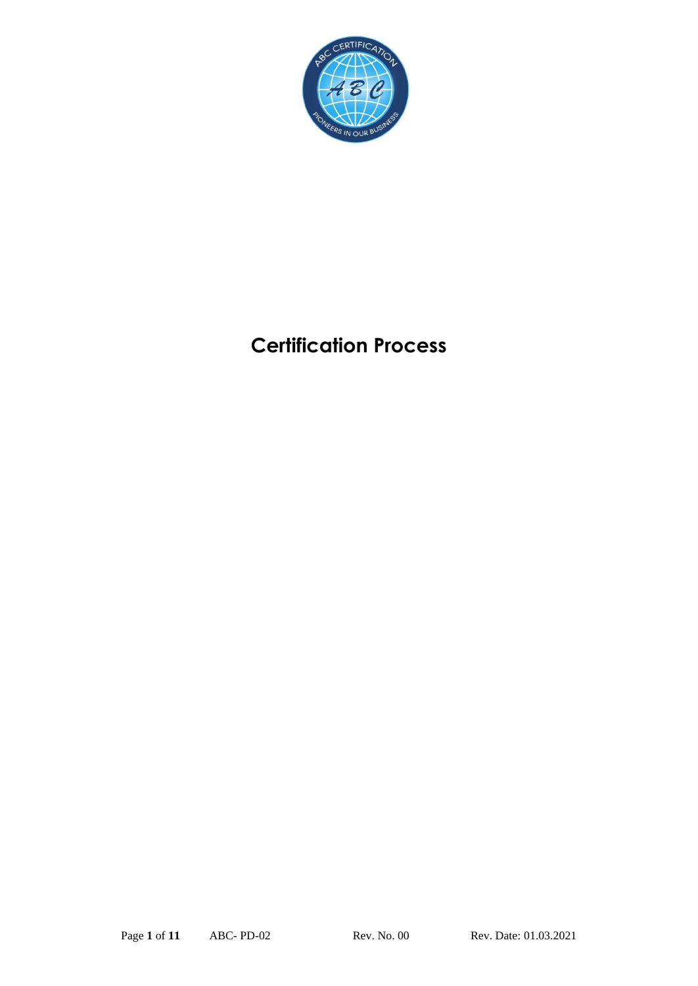

# **Certification Process**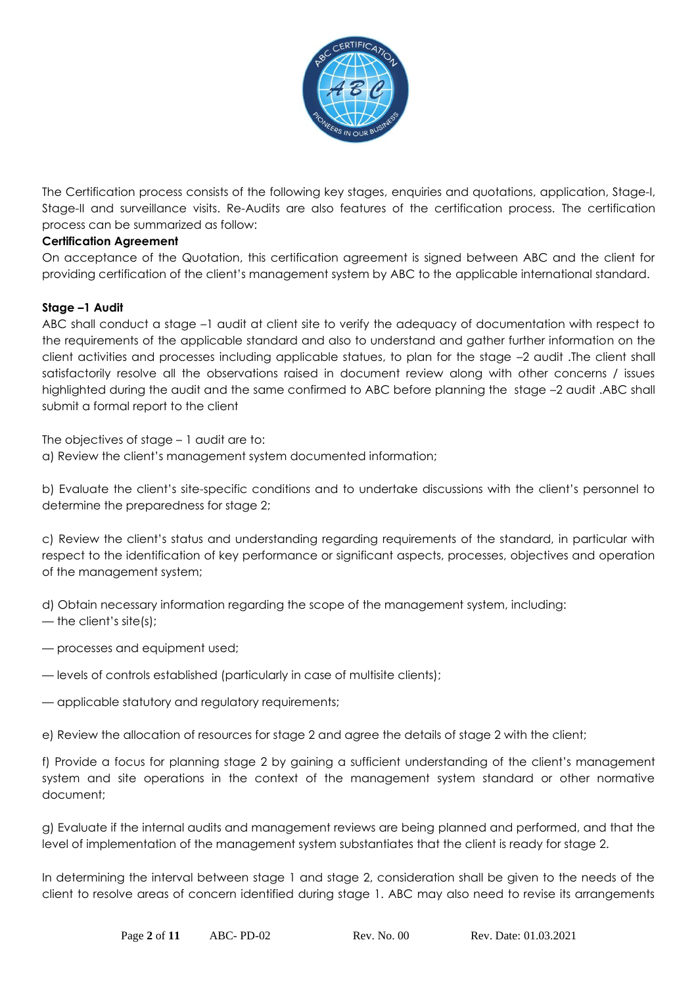

The Certification process consists of the following key stages, enquiries and quotations, application, Stage-I, Stage-II and surveillance visits. Re-Audits are also features of the certification process. The certification process can be summarized as follow:

# **Certification Agreement**

On acceptance of the Quotation, this certification agreement is signed between ABC and the client for providing certification of the client's management system by ABC to the applicable international standard.

# **Stage –1 Audit**

ABC shall conduct a stage –1 audit at client site to verify the adequacy of documentation with respect to the requirements of the applicable standard and also to understand and gather further information on the client activities and processes including applicable statues, to plan for the stage –2 audit .The client shall satisfactorily resolve all the observations raised in document review along with other concerns / issues highlighted during the audit and the same confirmed to ABC before planning the stage -2 audit .ABC shall submit a formal report to the client

The objectives of stage – 1 audit are to:

a) Review the client's management system documented information;

b) Evaluate the client's site-specific conditions and to undertake discussions with the client's personnel to determine the preparedness for stage 2;

c) Review the client's status and understanding regarding requirements of the standard, in particular with respect to the identification of key performance or significant aspects, processes, objectives and operation of the management system;

d) Obtain necessary information regarding the scope of the management system, including:

- the client's site(s);
- processes and equipment used;
- levels of controls established (particularly in case of multisite clients);
- applicable statutory and regulatory requirements;

e) Review the allocation of resources for stage 2 and agree the details of stage 2 with the client;

f) Provide a focus for planning stage 2 by gaining a sufficient understanding of the client's management system and site operations in the context of the management system standard or other normative document;

g) Evaluate if the internal audits and management reviews are being planned and performed, and that the level of implementation of the management system substantiates that the client is ready for stage 2.

In determining the interval between stage 1 and stage 2, consideration shall be given to the needs of the client to resolve areas of concern identified during stage 1. ABC may also need to revise its arrangements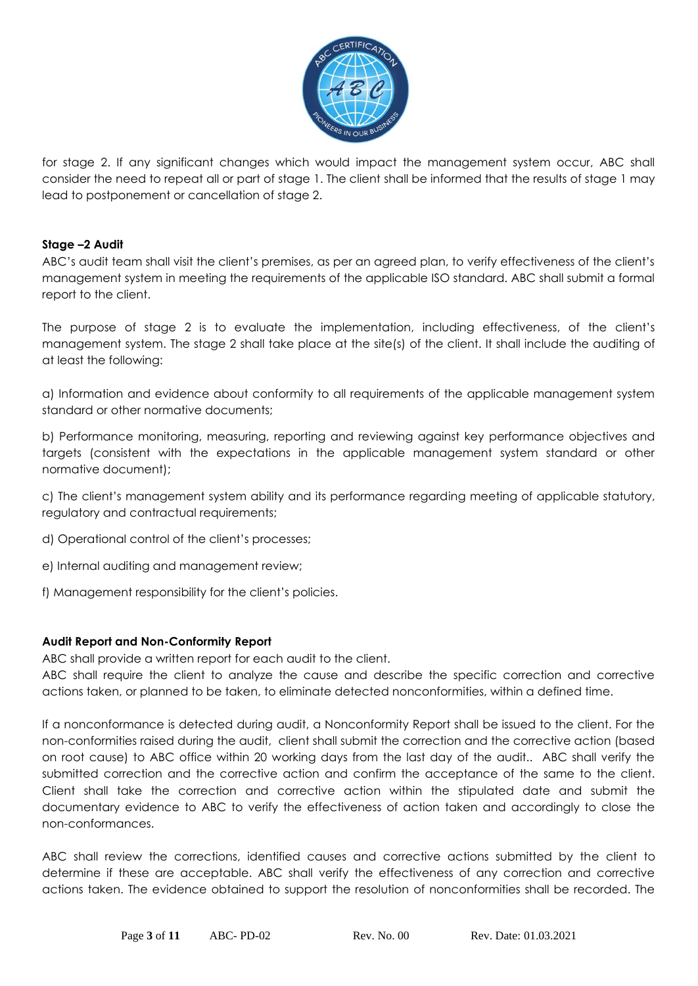

for stage 2. If any significant changes which would impact the management system occur, ABC shall consider the need to repeat all or part of stage 1. The client shall be informed that the results of stage 1 may lead to postponement or cancellation of stage 2.

# **Stage –2 Audit**

ABC's audit team shall visit the client's premises, as per an agreed plan, to verify effectiveness of the client's management system in meeting the requirements of the applicable ISO standard. ABC shall submit a formal report to the client.

The purpose of stage 2 is to evaluate the implementation, including effectiveness, of the client's management system. The stage 2 shall take place at the site(s) of the client. It shall include the auditing of at least the following:

a) Information and evidence about conformity to all requirements of the applicable management system standard or other normative documents;

b) Performance monitoring, measuring, reporting and reviewing against key performance objectives and targets (consistent with the expectations in the applicable management system standard or other normative document);

c) The client's management system ability and its performance regarding meeting of applicable statutory, regulatory and contractual requirements;

- d) Operational control of the client's processes;
- e) Internal auditing and management review;
- f) Management responsibility for the client's policies.

# **Audit Report and Non-Conformity Report**

ABC shall provide a written report for each audit to the client.

ABC shall require the client to analyze the cause and describe the specific correction and corrective actions taken, or planned to be taken, to eliminate detected nonconformities, within a defined time.

If a nonconformance is detected during audit, a Nonconformity Report shall be issued to the client. For the non-conformities raised during the audit, client shall submit the correction and the corrective action (based on root cause) to ABC office within 20 working days from the last day of the audit.. ABC shall verify the submitted correction and the corrective action and confirm the acceptance of the same to the client. Client shall take the correction and corrective action within the stipulated date and submit the documentary evidence to ABC to verify the effectiveness of action taken and accordingly to close the non-conformances.

ABC shall review the corrections, identified causes and corrective actions submitted by the client to determine if these are acceptable. ABC shall verify the effectiveness of any correction and corrective actions taken. The evidence obtained to support the resolution of nonconformities shall be recorded. The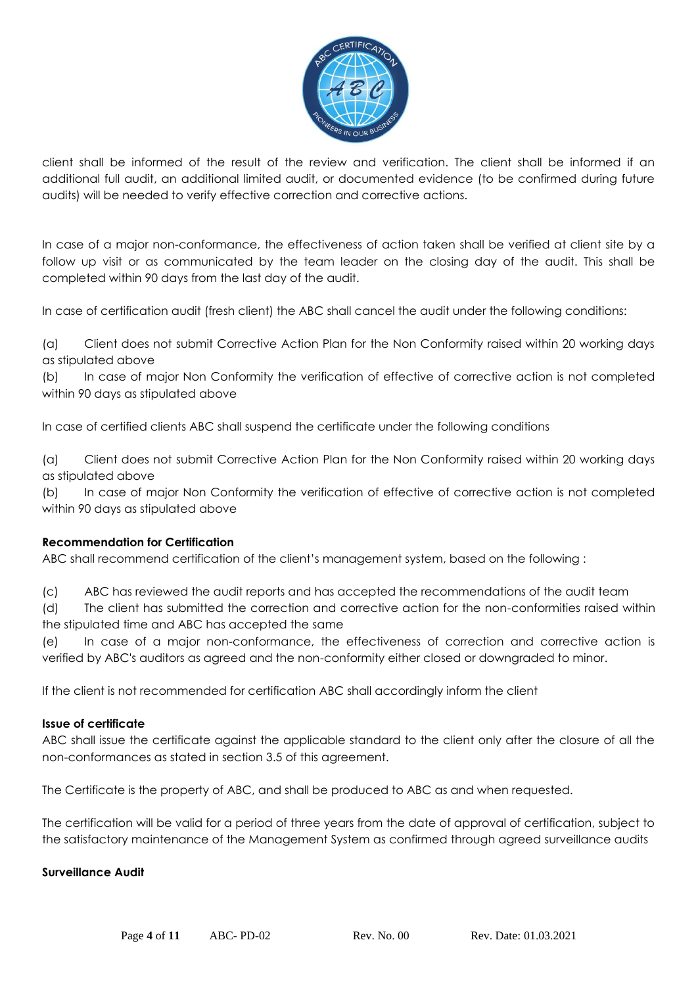

client shall be informed of the result of the review and verification. The client shall be informed if an additional full audit, an additional limited audit, or documented evidence (to be confirmed during future audits) will be needed to verify effective correction and corrective actions.

In case of a major non-conformance, the effectiveness of action taken shall be verified at client site by a follow up visit or as communicated by the team leader on the closing day of the audit. This shall be completed within 90 days from the last day of the audit.

In case of certification audit (fresh client) the ABC shall cancel the audit under the following conditions:

(a) Client does not submit Corrective Action Plan for the Non Conformity raised within 20 working days as stipulated above

(b) In case of major Non Conformity the verification of effective of corrective action is not completed within 90 days as stipulated above

In case of certified clients ABC shall suspend the certificate under the following conditions

(a) Client does not submit Corrective Action Plan for the Non Conformity raised within 20 working days as stipulated above

(b) In case of major Non Conformity the verification of effective of corrective action is not completed within 90 days as stipulated above

# **Recommendation for Certification**

ABC shall recommend certification of the client's management system, based on the following :

(c) ABC has reviewed the audit reports and has accepted the recommendations of the audit team

(d) The client has submitted the correction and corrective action for the non-conformities raised within the stipulated time and ABC has accepted the same

(e) In case of a major non-conformance, the effectiveness of correction and corrective action is verified by ABC's auditors as agreed and the non-conformity either closed or downgraded to minor.

If the client is not recommended for certification ABC shall accordingly inform the client

#### **Issue of certificate**

ABC shall issue the certificate against the applicable standard to the client only after the closure of all the non-conformances as stated in section 3.5 of this agreement.

The Certificate is the property of ABC, and shall be produced to ABC as and when requested.

The certification will be valid for a period of three years from the date of approval of certification, subject to the satisfactory maintenance of the Management System as confirmed through agreed surveillance audits

#### **Surveillance Audit**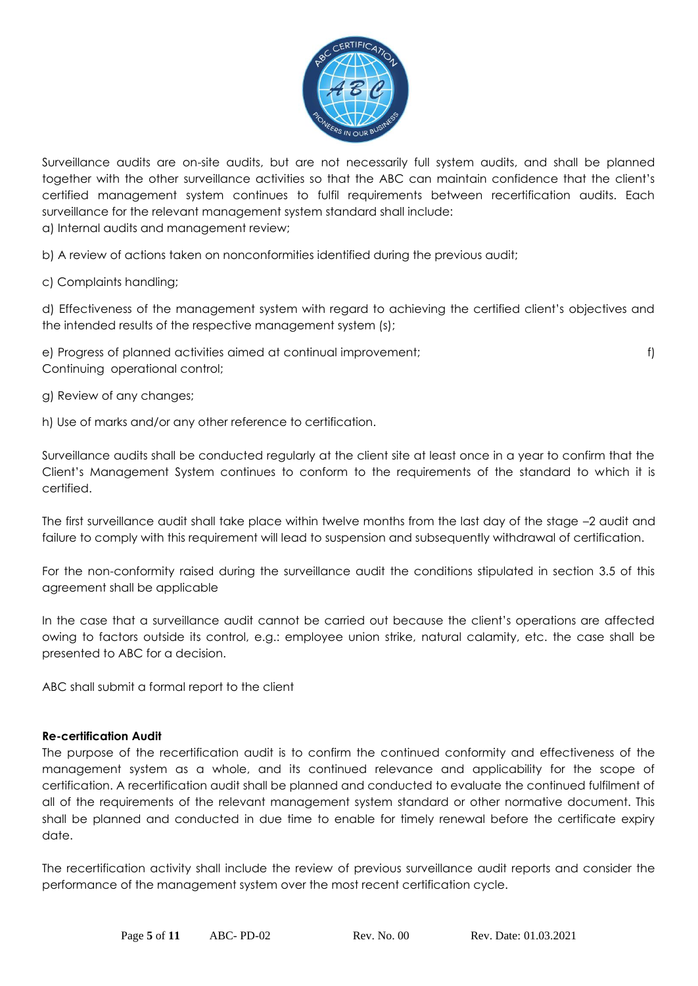

Surveillance audits are on-site audits, but are not necessarily full system audits, and shall be planned together with the other surveillance activities so that the ABC can maintain confidence that the client's certified management system continues to fulfil requirements between recertification audits. Each surveillance for the relevant management system standard shall include:

a) Internal audits and management review;

b) A review of actions taken on nonconformities identified during the previous audit;

c) Complaints handling;

d) Effectiveness of the management system with regard to achieving the certified client's objectives and the intended results of the respective management system (s);

e) Progress of planned activities aimed at continual improvement; f) Continuing operational control;

g) Review of any changes;

h) Use of marks and/or any other reference to certification.

Surveillance audits shall be conducted regularly at the client site at least once in a year to confirm that the Client's Management System continues to conform to the requirements of the standard to which it is certified.

The first surveillance audit shall take place within twelve months from the last day of the stage –2 audit and failure to comply with this requirement will lead to suspension and subsequently withdrawal of certification.

For the non-conformity raised during the surveillance audit the conditions stipulated in section 3.5 of this agreement shall be applicable

In the case that a surveillance audit cannot be carried out because the client's operations are affected owing to factors outside its control, e.g.: employee union strike, natural calamity, etc. the case shall be presented to ABC for a decision.

ABC shall submit a formal report to the client

# **Re-certification Audit**

The purpose of the recertification audit is to confirm the continued conformity and effectiveness of the management system as a whole, and its continued relevance and applicability for the scope of certification. A recertification audit shall be planned and conducted to evaluate the continued fulfilment of all of the requirements of the relevant management system standard or other normative document. This shall be planned and conducted in due time to enable for timely renewal before the certificate expiry date.

The recertification activity shall include the review of previous surveillance audit reports and consider the performance of the management system over the most recent certification cycle.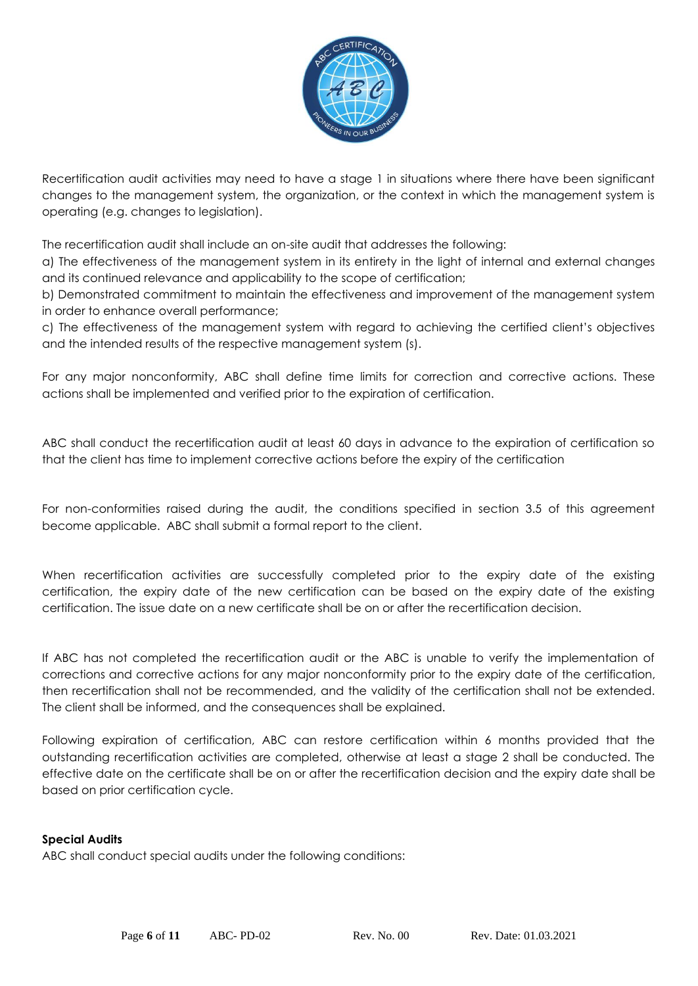

Recertification audit activities may need to have a stage 1 in situations where there have been significant changes to the management system, the organization, or the context in which the management system is operating (e.g. changes to legislation).

The recertification audit shall include an on-site audit that addresses the following:

a) The effectiveness of the management system in its entirety in the light of internal and external changes and its continued relevance and applicability to the scope of certification;

b) Demonstrated commitment to maintain the effectiveness and improvement of the management system in order to enhance overall performance;

c) The effectiveness of the management system with regard to achieving the certified client's objectives and the intended results of the respective management system (s).

For any major nonconformity, ABC shall define time limits for correction and corrective actions. These actions shall be implemented and verified prior to the expiration of certification.

ABC shall conduct the recertification audit at least 60 days in advance to the expiration of certification so that the client has time to implement corrective actions before the expiry of the certification

For non-conformities raised during the audit, the conditions specified in section 3.5 of this agreement become applicable. ABC shall submit a formal report to the client.

When recertification activities are successfully completed prior to the expiry date of the existing certification, the expiry date of the new certification can be based on the expiry date of the existing certification. The issue date on a new certificate shall be on or after the recertification decision.

If ABC has not completed the recertification audit or the ABC is unable to verify the implementation of corrections and corrective actions for any major nonconformity prior to the expiry date of the certification, then recertification shall not be recommended, and the validity of the certification shall not be extended. The client shall be informed, and the consequences shall be explained.

Following expiration of certification, ABC can restore certification within 6 months provided that the outstanding recertification activities are completed, otherwise at least a stage 2 shall be conducted. The effective date on the certificate shall be on or after the recertification decision and the expiry date shall be based on prior certification cycle.

# **Special Audits**

ABC shall conduct special audits under the following conditions: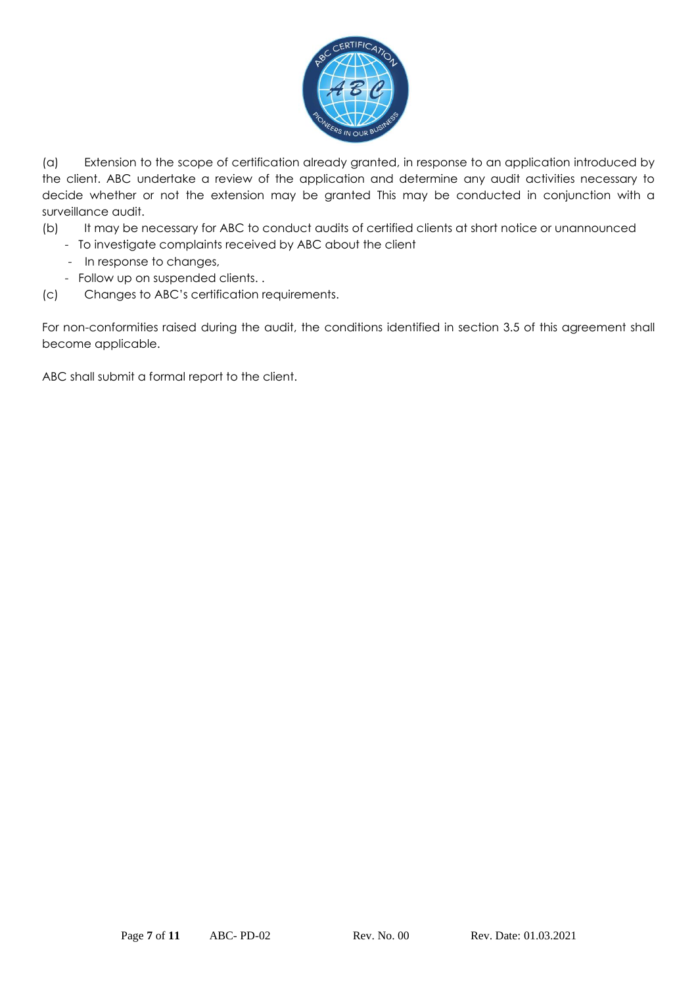

(a) Extension to the scope of certification already granted, in response to an application introduced by the client. ABC undertake a review of the application and determine any audit activities necessary to decide whether or not the extension may be granted This may be conducted in conjunction with a surveillance audit.

- (b) It may be necessary for ABC to conduct audits of certified clients at short notice or unannounced
	- To investigate complaints received by ABC about the client
	- In response to changes,
	- Follow up on suspended clients. .
- (c) Changes to ABC's certification requirements.

For non-conformities raised during the audit, the conditions identified in section 3.5 of this agreement shall become applicable.

ABC shall submit a formal report to the client.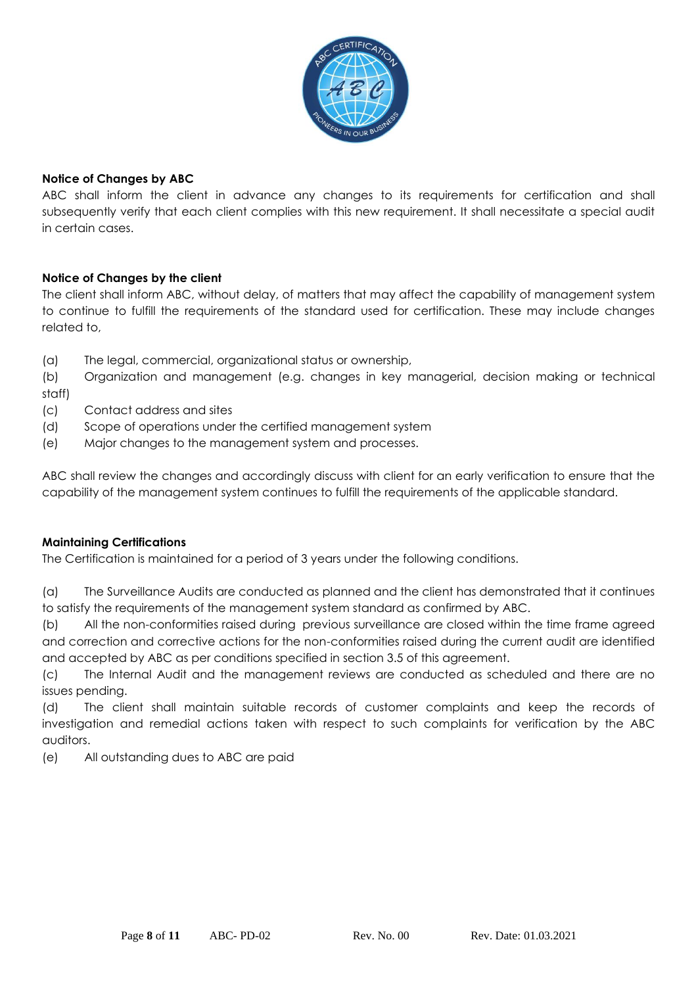

# **Notice of Changes by ABC**

ABC shall inform the client in advance any changes to its requirements for certification and shall subsequently verify that each client complies with this new requirement. It shall necessitate a special audit in certain cases.

# **Notice of Changes by the client**

The client shall inform ABC, without delay, of matters that may affect the capability of management system to continue to fulfill the requirements of the standard used for certification. These may include changes related to,

(a) The legal, commercial, organizational status or ownership,

(b) Organization and management (e.g. changes in key managerial, decision making or technical staff)

- (c) Contact address and sites
- (d) Scope of operations under the certified management system
- (e) Major changes to the management system and processes.

ABC shall review the changes and accordingly discuss with client for an early verification to ensure that the capability of the management system continues to fulfill the requirements of the applicable standard.

# **Maintaining Certifications**

The Certification is maintained for a period of 3 years under the following conditions.

(a) The Surveillance Audits are conducted as planned and the client has demonstrated that it continues to satisfy the requirements of the management system standard as confirmed by ABC.

(b) All the non-conformities raised during previous surveillance are closed within the time frame agreed and correction and corrective actions for the non-conformities raised during the current audit are identified and accepted by ABC as per conditions specified in section 3.5 of this agreement.

(c) The Internal Audit and the management reviews are conducted as scheduled and there are no issues pending.

(d) The client shall maintain suitable records of customer complaints and keep the records of investigation and remedial actions taken with respect to such complaints for verification by the ABC auditors.

(e) All outstanding dues to ABC are paid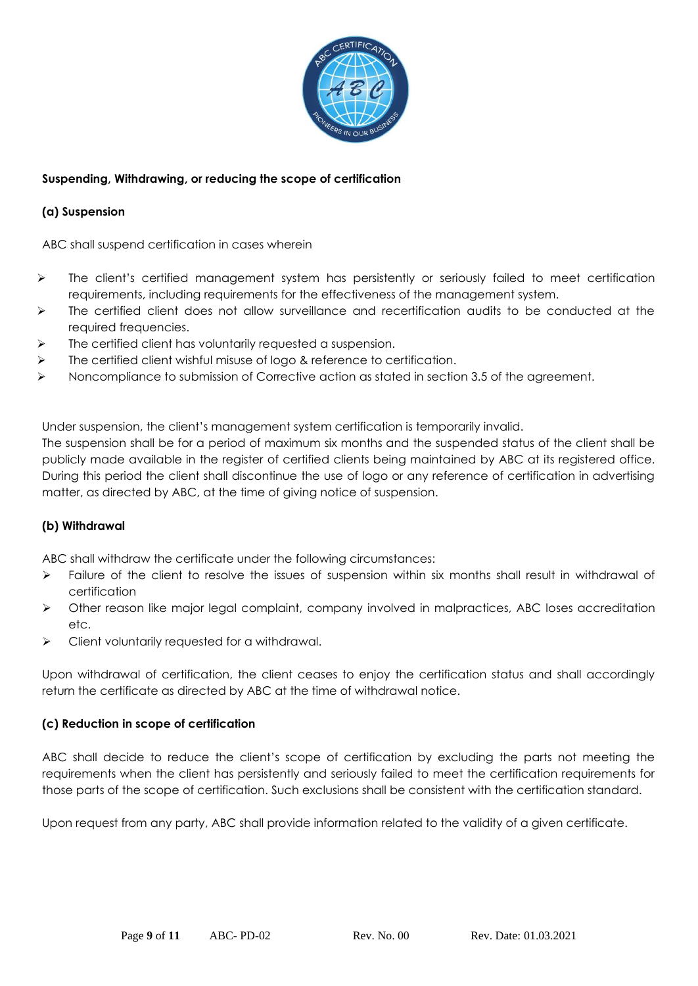

# **Suspending, Withdrawing, or reducing the scope of certification**

# **(a) Suspension**

ABC shall suspend certification in cases wherein

- ➢ The client's certified management system has persistently or seriously failed to meet certification requirements, including requirements for the effectiveness of the management system.
- ➢ The certified client does not allow surveillance and recertification audits to be conducted at the required frequencies.
- $\triangleright$  The certified client has voluntarily requested a suspension.
- ➢ The certified client wishful misuse of logo & reference to certification.
- ➢ Noncompliance to submission of Corrective action as stated in section 3.5 of the agreement.

Under suspension, the client's management system certification is temporarily invalid.

The suspension shall be for a period of maximum six months and the suspended status of the client shall be publicly made available in the register of certified clients being maintained by ABC at its registered office. During this period the client shall discontinue the use of logo or any reference of certification in advertising matter, as directed by ABC, at the time of giving notice of suspension.

# **(b) Withdrawal**

ABC shall withdraw the certificate under the following circumstances:

- ➢ Failure of the client to resolve the issues of suspension within six months shall result in withdrawal of certification
- ➢ Other reason like major legal complaint, company involved in malpractices, ABC loses accreditation etc.
- ➢ Client voluntarily requested for a withdrawal.

Upon withdrawal of certification, the client ceases to enjoy the certification status and shall accordingly return the certificate as directed by ABC at the time of withdrawal notice.

# **(c) Reduction in scope of certification**

ABC shall decide to reduce the client's scope of certification by excluding the parts not meeting the requirements when the client has persistently and seriously failed to meet the certification requirements for those parts of the scope of certification. Such exclusions shall be consistent with the certification standard.

Upon request from any party, ABC shall provide information related to the validity of a given certificate.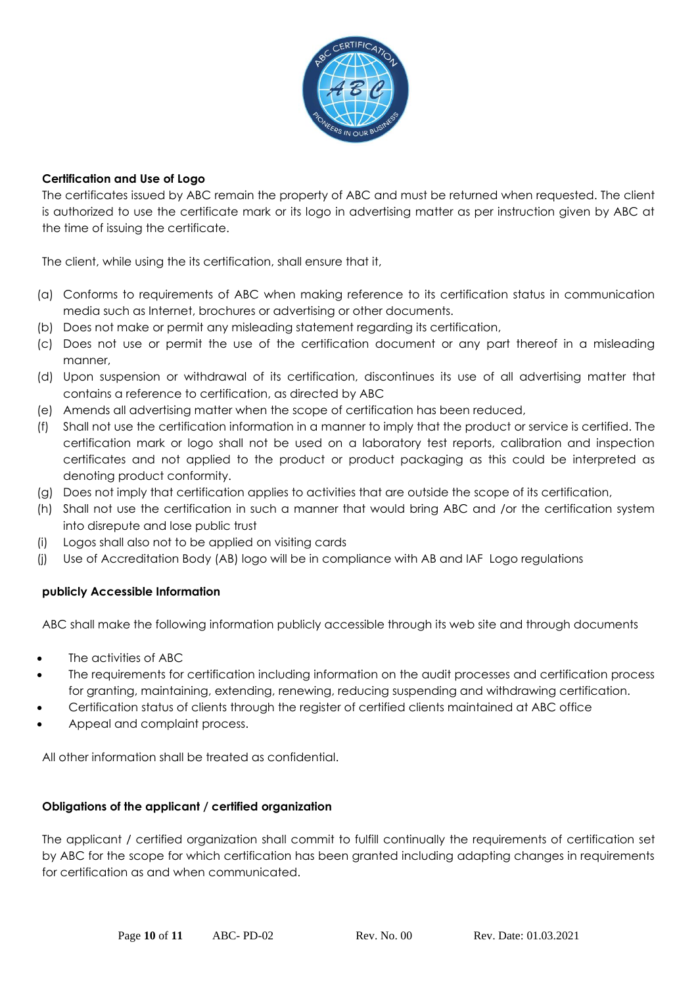

# **Certification and Use of Logo**

The certificates issued by ABC remain the property of ABC and must be returned when requested. The client is authorized to use the certificate mark or its logo in advertising matter as per instruction given by ABC at the time of issuing the certificate.

The client, while using the its certification, shall ensure that it,

- (a) Conforms to requirements of ABC when making reference to its certification status in communication media such as Internet, brochures or advertising or other documents.
- (b) Does not make or permit any misleading statement regarding its certification,
- (c) Does not use or permit the use of the certification document or any part thereof in a misleading manner,
- (d) Upon suspension or withdrawal of its certification, discontinues its use of all advertising matter that contains a reference to certification, as directed by ABC
- (e) Amends all advertising matter when the scope of certification has been reduced,
- (f) Shall not use the certification information in a manner to imply that the product or service is certified. The certification mark or logo shall not be used on a laboratory test reports, calibration and inspection certificates and not applied to the product or product packaging as this could be interpreted as denoting product conformity.
- (g) Does not imply that certification applies to activities that are outside the scope of its certification,
- (h) Shall not use the certification in such a manner that would bring ABC and /or the certification system into disrepute and lose public trust
- (i) Logos shall also not to be applied on visiting cards
- (j) Use of Accreditation Body (AB) logo will be in compliance with AB and IAF Logo regulations

# **publicly Accessible Information**

ABC shall make the following information publicly accessible through its web site and through documents

- The activities of ABC
- The requirements for certification including information on the audit processes and certification process for granting, maintaining, extending, renewing, reducing suspending and withdrawing certification.
- Certification status of clients through the register of certified clients maintained at ABC office
- Appeal and complaint process.

All other information shall be treated as confidential.

# **Obligations of the applicant / certified organization**

The applicant / certified organization shall commit to fulfill continually the requirements of certification set by ABC for the scope for which certification has been granted including adapting changes in requirements for certification as and when communicated.